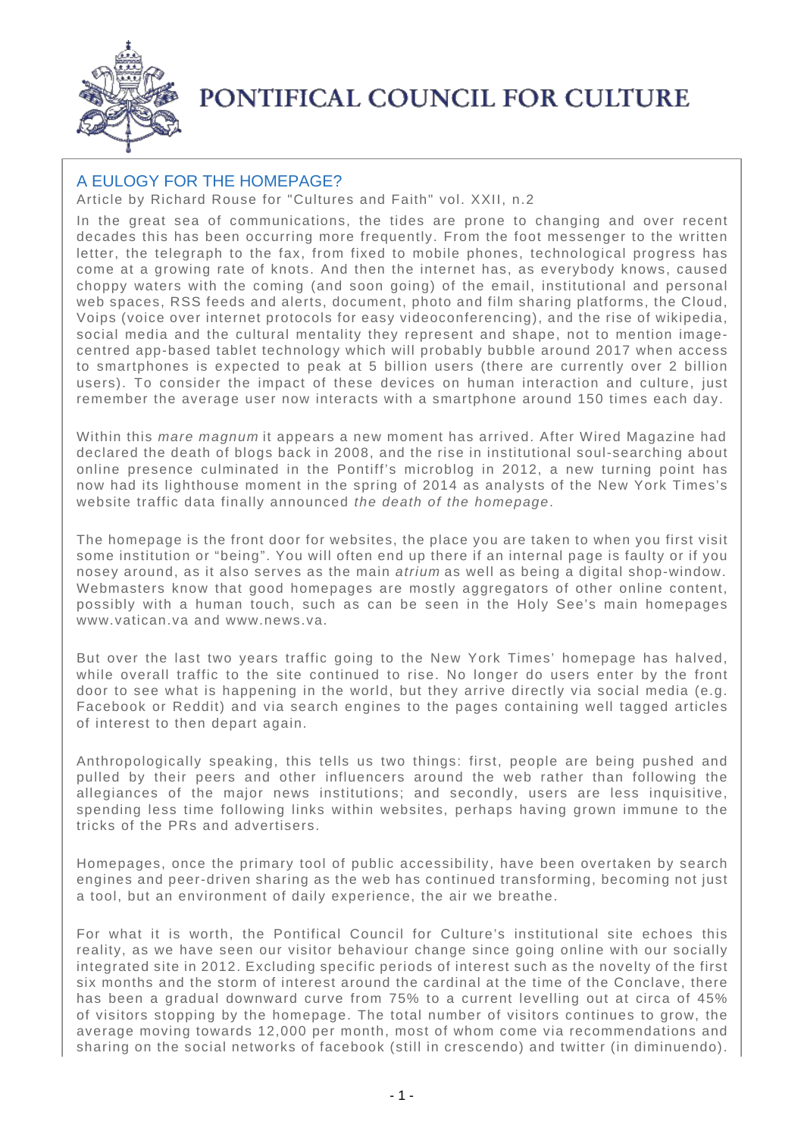

## PONTIFICAL COUNCIL FOR CULTURE

## A EULOGY FOR THE HOMEPAGE?

Article by Richard Rouse for "Cultures and Faith" vol. XXII, n.2

In the great sea of communications, the tides are prone to changing and over recent decades this has been occurring more frequently. From the foot messenger to the written letter, the telegraph to the fax, from fixed to mobile phones, technological progress has come at a growing rate of knots. And then the internet has, as everybody knows, caused choppy waters with the coming (and soon going) of the email, institutional and personal web spaces, RSS feeds and alerts, document, photo and film sharing platforms, the Cloud, Voips (voice over internet protocols for easy videoconferencing), and the rise of wikipedia, social media and the cultural mentality they represent and shape, not to mention imagecentred app-based tablet technology which will probably bubble around 2017 when access to smartphones is expected to peak at 5 billion users (there are currently over 2 billion users). To consider the impact of these devices on human interaction and culture, just remember the average user now interacts with a smartphone around 150 times each day.

Within this mare magnum it appears a new moment has arrived. After Wired Magazine had declared the death of blogs back in 2008, and the rise in institutional soul-searching about online presence culminated in the Pontiff's microblog in 2012, a new turning point has now had its lighthouse moment in the spring of 2014 as analysts of the New York Times's website traffic data finally announced the death of the homepage.

The homepage is the front door for websites, the place you are taken to when you first visit some institution or "being". You will often end up there if an internal page is faulty or if you nosey around, as it also serves as the main atrium as well as being a digital shop-window. Webmasters know that good homepages are mostly aggregators of other online content, possibly with a human touch, such as can be seen in the Holy See's main homepages www.vatican.va and www.news.va.

But over the last two years traffic going to the New York Times' homepage has halved, while overall traffic to the site continued to rise. No longer do users enter by the front door to see what is happening in the world, but they arrive directly via social media (e.g. Facebook or Reddit) and via search engines to the pages containing well tagged articles of interest to then depart again.

Anthropologically speaking, this tells us two things: first, people are being pushed and pulled by their peers and other influencers around the web rather than following the allegiances of the major news institutions; and secondly, users are less inquisitive, spending less time following links within websites, perhaps having grown immune to the tricks of the PRs and advertisers.

Homepages, once the primary tool of public accessibility, have been overtaken by search engines and peer-driven sharing as the web has continued transforming, becoming not just a tool, but an environment of daily experience, the air we breathe.

For what it is worth, the Pontifical Council for Culture's institutional site echoes this reality, as we have seen our visitor behaviour change since going online with our socially integrated site in 2012. Excluding specific periods of interest such as the novelty of the first six months and the storm of interest around the cardinal at the time of the Conclave, there has been a gradual downward curve from 75% to a current levelling out at circa of 45% of visitors stopping by the homepage. The total number of visitors continues to grow, the average moving towards 12,000 per month, most of whom come via recommendations and sharing on the social networks of facebook (still in crescendo) and twitter (in diminuendo).